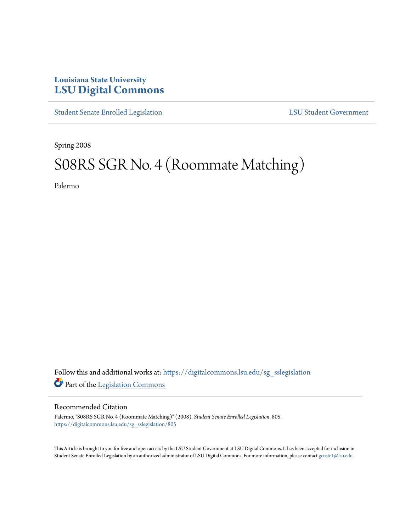## **Louisiana State University [LSU Digital Commons](https://digitalcommons.lsu.edu?utm_source=digitalcommons.lsu.edu%2Fsg_sslegislation%2F805&utm_medium=PDF&utm_campaign=PDFCoverPages)**

[Student Senate Enrolled Legislation](https://digitalcommons.lsu.edu/sg_sslegislation?utm_source=digitalcommons.lsu.edu%2Fsg_sslegislation%2F805&utm_medium=PDF&utm_campaign=PDFCoverPages) [LSU Student Government](https://digitalcommons.lsu.edu/sg?utm_source=digitalcommons.lsu.edu%2Fsg_sslegislation%2F805&utm_medium=PDF&utm_campaign=PDFCoverPages)

Spring 2008

## S08RS SGR No. 4 (Roommate Matching)

Palermo

Follow this and additional works at: [https://digitalcommons.lsu.edu/sg\\_sslegislation](https://digitalcommons.lsu.edu/sg_sslegislation?utm_source=digitalcommons.lsu.edu%2Fsg_sslegislation%2F805&utm_medium=PDF&utm_campaign=PDFCoverPages) Part of the [Legislation Commons](http://network.bepress.com/hgg/discipline/859?utm_source=digitalcommons.lsu.edu%2Fsg_sslegislation%2F805&utm_medium=PDF&utm_campaign=PDFCoverPages)

## Recommended Citation

Palermo, "S08RS SGR No. 4 (Roommate Matching)" (2008). *Student Senate Enrolled Legislation*. 805. [https://digitalcommons.lsu.edu/sg\\_sslegislation/805](https://digitalcommons.lsu.edu/sg_sslegislation/805?utm_source=digitalcommons.lsu.edu%2Fsg_sslegislation%2F805&utm_medium=PDF&utm_campaign=PDFCoverPages)

This Article is brought to you for free and open access by the LSU Student Government at LSU Digital Commons. It has been accepted for inclusion in Student Senate Enrolled Legislation by an authorized administrator of LSU Digital Commons. For more information, please contact [gcoste1@lsu.edu.](mailto:gcoste1@lsu.edu)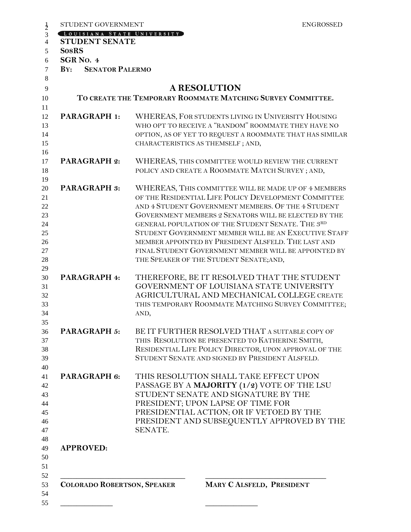| STUDENT GOVERNMENT<br>LOUISIANA STATE UNIVERSITY | <b>ENGROSSED</b>                                            |
|--------------------------------------------------|-------------------------------------------------------------|
| <b>STUDENT SENATE</b>                            |                                                             |
| <b>SosRS</b>                                     |                                                             |
| SGR <sub>NO</sub> . 4                            |                                                             |
| <b>SENATOR PALERMO</b><br>BY:                    |                                                             |
|                                                  |                                                             |
|                                                  | <b>A RESOLUTION</b>                                         |
|                                                  | TO CREATE THE TEMPORARY ROOMMATE MATCHING SURVEY COMMITTEE. |
| <b>PARAGRAPH 1:</b>                              | WHEREAS, FOR STUDENTS LIVING IN UNIVERSITY HOUSING          |
|                                                  | WHO OPT TO RECEIVE A "RANDOM" ROOMMATE THEY HAVE NO         |
|                                                  | OPTION, AS OF YET TO REQUEST A ROOMMATE THAT HAS SIMILAR    |
|                                                  | CHARACTERISTICS AS THEMSELF; AND,                           |
| <b>PARAGRAPH 2:</b>                              | WHEREAS, THIS COMMITTEE WOULD REVIEW THE CURRENT            |
|                                                  | POLICY AND CREATE A ROOMMATE MATCH SURVEY; AND,             |
|                                                  |                                                             |
| <b>PARAGRAPH 3:</b>                              | WHEREAS, THIS COMMITTEE WILL BE MADE UP OF 4 MEMBERS        |
|                                                  | OF THE RESIDENTIAL LIFE POLICY DEVELOPMENT COMMITTEE        |
|                                                  | AND 4 STUDENT GOVERNMENT MEMBERS. OF THE 4 STUDENT          |
|                                                  | GOVERNMENT MEMBERS 2 SENATORS WILL BE ELECTED BY THE        |
|                                                  | GENERAL POPULATION OF THE STUDENT SENATE. THE 3RD           |
|                                                  | STUDENT GOVERNMENT MEMBER WILL BE AN EXECUTIVE STAFF        |
|                                                  | MEMBER APPOINTED BY PRESIDENT ALSFELD. THE LAST AND         |
|                                                  | FINAL STUDENT GOVERNMENT MEMBER WILL BE APPOINTED BY        |
|                                                  | THE SPEAKER OF THE STUDENT SENATE; AND,                     |
| PARAGRAPH 4:                                     | THEREFORE, BE IT RESOLVED THAT THE STUDENT                  |
|                                                  | GOVERNMENT OF LOUISIANA STATE UNIVERSITY                    |
|                                                  | AGRICULTURAL AND MECHANICAL COLLEGE CREATE                  |
|                                                  | THIS TEMPORARY ROOMMATE MATCHING SURVEY COMMITTEE;          |
|                                                  | AND,                                                        |
| <b>PARAGRAPH 5:</b>                              | BE IT FURTHER RESOLVED THAT A SUITABLE COPY OF              |
|                                                  | THIS RESOLUTION BE PRESENTED TO KATHERINE SMITH,            |
|                                                  | RESIDENTIAL LIFE POLICY DIRECTOR, UPON APPROVAL OF THE      |
|                                                  | STUDENT SENATE AND SIGNED BY PRESIDENT ALSFELD.             |
| PARAGRAPH 6:                                     | THIS RESOLUTION SHALL TAKE EFFECT UPON                      |
|                                                  | PASSAGE BY A MAJORITY (1/2) VOTE OF THE LSU                 |
|                                                  | STUDENT SENATE AND SIGNATURE BY THE                         |
|                                                  | PRESIDENT; UPON LAPSE OF TIME FOR                           |
|                                                  | PRESIDENTIAL ACTION; OR IF VETOED BY THE                    |
|                                                  | PRESIDENT AND SUBSEQUENTLY APPROVED BY THE                  |
|                                                  | SENATE.                                                     |
| <b>APPROVED:</b>                                 |                                                             |
|                                                  |                                                             |
|                                                  |                                                             |
| <b>COLORADO ROBERTSON, SPEAKER</b>               | MARY C ALSFELD, PRESIDENT                                   |
|                                                  |                                                             |